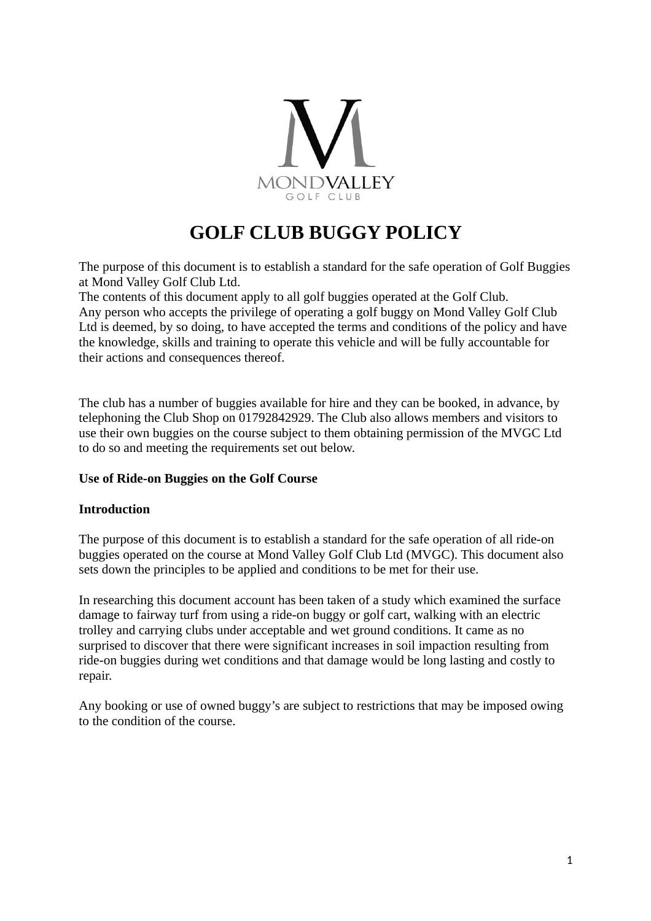

# **GOLF CLUB BUGGY POLICY**

The purpose of this document is to establish a standard for the safe operation of Golf Buggies at Mond Valley Golf Club Ltd.

The contents of this document apply to all golf buggies operated at the Golf Club. Any person who accepts the privilege of operating a golf buggy on Mond Valley Golf Club Ltd is deemed, by so doing, to have accepted the terms and conditions of the policy and have the knowledge, skills and training to operate this vehicle and will be fully accountable for their actions and consequences thereof.

The club has a number of buggies available for hire and they can be booked, in advance, by telephoning the Club Shop on 01792842929. The Club also allows members and visitors to use their own buggies on the course subject to them obtaining permission of the MVGC Ltd to do so and meeting the requirements set out below.

## **Use of Ride-on Buggies on the Golf Course**

#### **Introduction**

The purpose of this document is to establish a standard for the safe operation of all ride-on buggies operated on the course at Mond Valley Golf Club Ltd (MVGC). This document also sets down the principles to be applied and conditions to be met for their use.

In researching this document account has been taken of a study which examined the surface damage to fairway turf from using a ride-on buggy or golf cart, walking with an electric trolley and carrying clubs under acceptable and wet ground conditions. It came as no surprised to discover that there were significant increases in soil impaction resulting from ride-on buggies during wet conditions and that damage would be long lasting and costly to repair.

Any booking or use of owned buggy's are subject to restrictions that may be imposed owing to the condition of the course.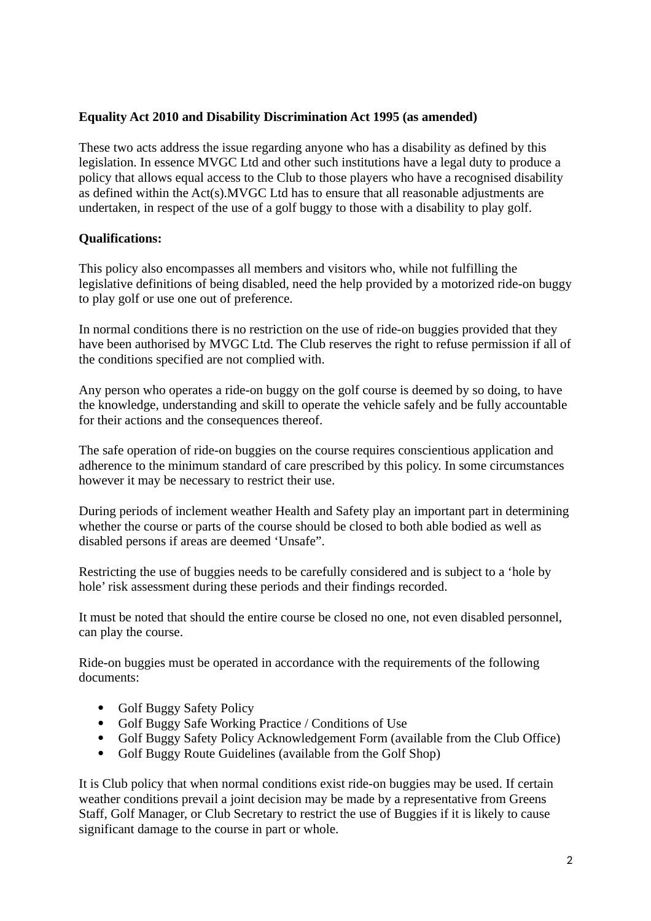## **Equality Act 2010 and Disability Discrimination Act 1995 (as amended)**

These two acts address the issue regarding anyone who has a disability as defined by this legislation. In essence MVGC Ltd and other such institutions have a legal duty to produce a policy that allows equal access to the Club to those players who have a recognised disability as defined within the Act(s).MVGC Ltd has to ensure that all reasonable adjustments are undertaken, in respect of the use of a golf buggy to those with a disability to play golf.

## **Qualifications:**

This policy also encompasses all members and visitors who, while not fulfilling the legislative definitions of being disabled, need the help provided by a motorized ride-on buggy to play golf or use one out of preference.

In normal conditions there is no restriction on the use of ride-on buggies provided that they have been authorised by MVGC Ltd. The Club reserves the right to refuse permission if all of the conditions specified are not complied with.

Any person who operates a ride-on buggy on the golf course is deemed by so doing, to have the knowledge, understanding and skill to operate the vehicle safely and be fully accountable for their actions and the consequences thereof.

The safe operation of ride-on buggies on the course requires conscientious application and adherence to the minimum standard of care prescribed by this policy. In some circumstances however it may be necessary to restrict their use.

During periods of inclement weather Health and Safety play an important part in determining whether the course or parts of the course should be closed to both able bodied as well as disabled persons if areas are deemed 'Unsafe".

Restricting the use of buggies needs to be carefully considered and is subject to a 'hole by hole' risk assessment during these periods and their findings recorded.

It must be noted that should the entire course be closed no one, not even disabled personnel, can play the course.

Ride-on buggies must be operated in accordance with the requirements of the following documents:

- Golf Buggy Safety Policy
- Golf Buggy Safe Working Practice / Conditions of Use
- Golf Buggy Safety Policy Acknowledgement Form (available from the Club Office)
- Golf Buggy Route Guidelines (available from the Golf Shop)

It is Club policy that when normal conditions exist ride-on buggies may be used. If certain weather conditions prevail a joint decision may be made by a representative from Greens Staff, Golf Manager, or Club Secretary to restrict the use of Buggies if it is likely to cause significant damage to the course in part or whole.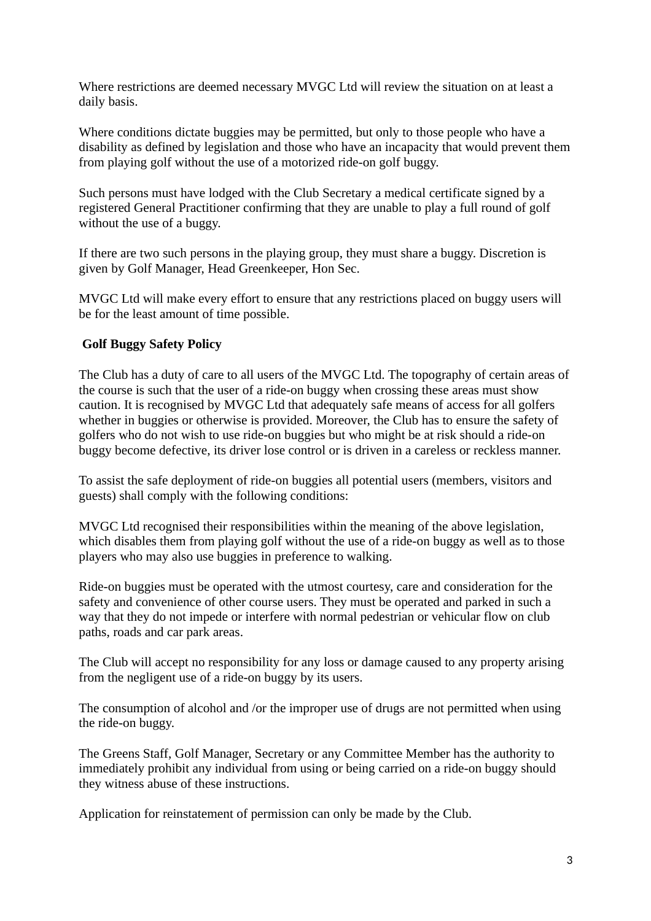Where restrictions are deemed necessary MVGC Ltd will review the situation on at least a daily basis.

Where conditions dictate buggies may be permitted, but only to those people who have a disability as defined by legislation and those who have an incapacity that would prevent them from playing golf without the use of a motorized ride-on golf buggy.

Such persons must have lodged with the Club Secretary a medical certificate signed by a registered General Practitioner confirming that they are unable to play a full round of golf without the use of a buggy.

If there are two such persons in the playing group, they must share a buggy. Discretion is given by Golf Manager, Head Greenkeeper, Hon Sec.

MVGC Ltd will make every effort to ensure that any restrictions placed on buggy users will be for the least amount of time possible.

## **Golf Buggy Safety Policy**

The Club has a duty of care to all users of the MVGC Ltd. The topography of certain areas of the course is such that the user of a ride-on buggy when crossing these areas must show caution. It is recognised by MVGC Ltd that adequately safe means of access for all golfers whether in buggies or otherwise is provided. Moreover, the Club has to ensure the safety of golfers who do not wish to use ride-on buggies but who might be at risk should a ride-on buggy become defective, its driver lose control or is driven in a careless or reckless manner.

To assist the safe deployment of ride-on buggies all potential users (members, visitors and guests) shall comply with the following conditions:

MVGC Ltd recognised their responsibilities within the meaning of the above legislation, which disables them from playing golf without the use of a ride-on buggy as well as to those players who may also use buggies in preference to walking.

Ride-on buggies must be operated with the utmost courtesy, care and consideration for the safety and convenience of other course users. They must be operated and parked in such a way that they do not impede or interfere with normal pedestrian or vehicular flow on club paths, roads and car park areas.

The Club will accept no responsibility for any loss or damage caused to any property arising from the negligent use of a ride-on buggy by its users.

The consumption of alcohol and /or the improper use of drugs are not permitted when using the ride-on buggy.

The Greens Staff, Golf Manager, Secretary or any Committee Member has the authority to immediately prohibit any individual from using or being carried on a ride-on buggy should they witness abuse of these instructions.

Application for reinstatement of permission can only be made by the Club.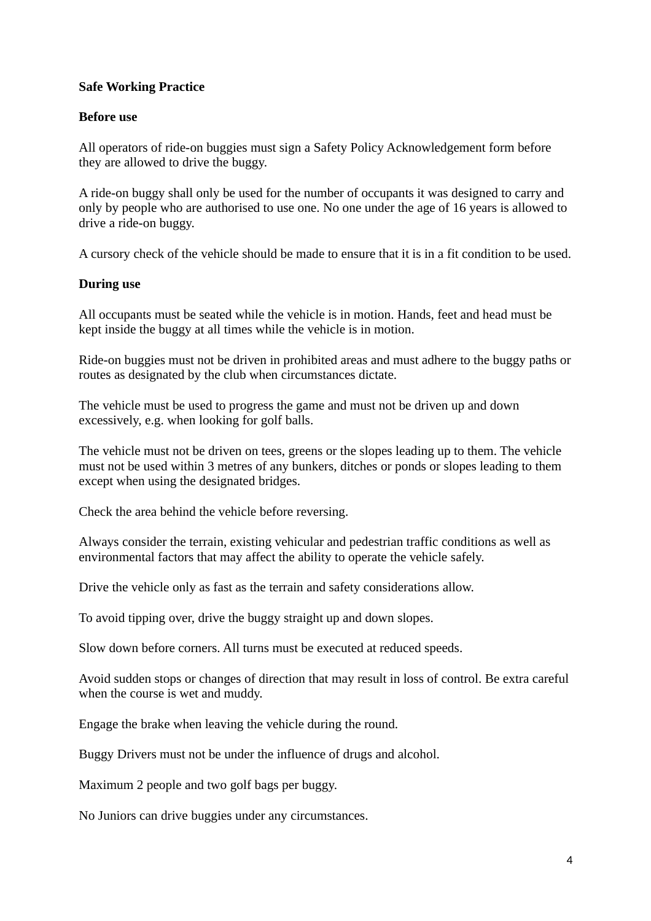### **Safe Working Practice**

#### **Before use**

All operators of ride-on buggies must sign a Safety Policy Acknowledgement form before they are allowed to drive the buggy.

A ride-on buggy shall only be used for the number of occupants it was designed to carry and only by people who are authorised to use one. No one under the age of 16 years is allowed to drive a ride-on buggy.

A cursory check of the vehicle should be made to ensure that it is in a fit condition to be used.

#### **During use**

All occupants must be seated while the vehicle is in motion. Hands, feet and head must be kept inside the buggy at all times while the vehicle is in motion.

Ride-on buggies must not be driven in prohibited areas and must adhere to the buggy paths or routes as designated by the club when circumstances dictate.

The vehicle must be used to progress the game and must not be driven up and down excessively, e.g. when looking for golf balls.

The vehicle must not be driven on tees, greens or the slopes leading up to them. The vehicle must not be used within 3 metres of any bunkers, ditches or ponds or slopes leading to them except when using the designated bridges.

Check the area behind the vehicle before reversing.

Always consider the terrain, existing vehicular and pedestrian traffic conditions as well as environmental factors that may affect the ability to operate the vehicle safely.

Drive the vehicle only as fast as the terrain and safety considerations allow.

To avoid tipping over, drive the buggy straight up and down slopes.

Slow down before corners. All turns must be executed at reduced speeds.

Avoid sudden stops or changes of direction that may result in loss of control. Be extra careful when the course is wet and muddy.

Engage the brake when leaving the vehicle during the round.

Buggy Drivers must not be under the influence of drugs and alcohol.

Maximum 2 people and two golf bags per buggy.

No Juniors can drive buggies under any circumstances.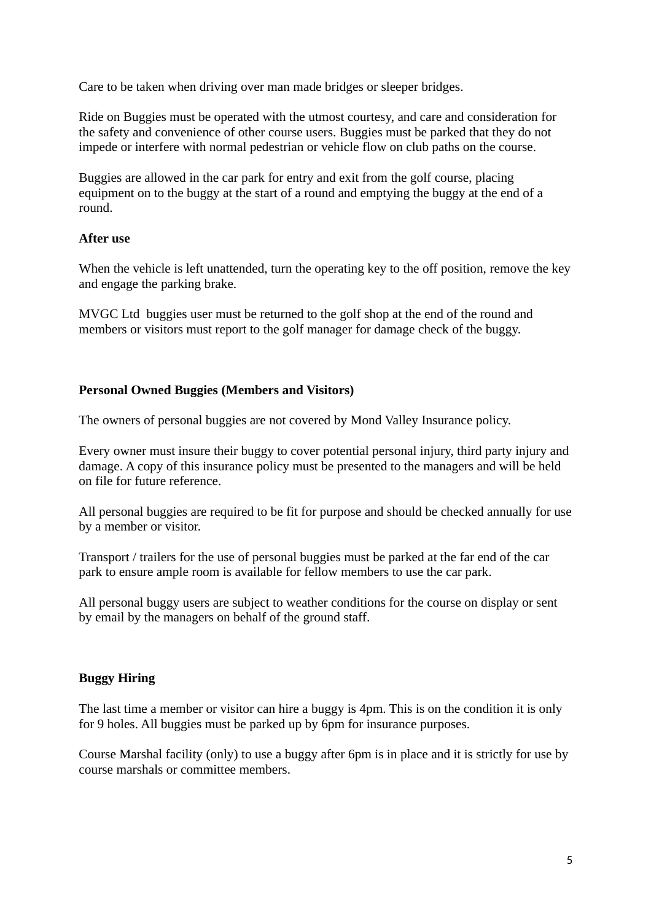Care to be taken when driving over man made bridges or sleeper bridges.

Ride on Buggies must be operated with the utmost courtesy, and care and consideration for the safety and convenience of other course users. Buggies must be parked that they do not impede or interfere with normal pedestrian or vehicle flow on club paths on the course.

Buggies are allowed in the car park for entry and exit from the golf course, placing equipment on to the buggy at the start of a round and emptying the buggy at the end of a round.

## **After use**

When the vehicle is left unattended, turn the operating key to the off position, remove the key and engage the parking brake.

MVGC Ltd buggies user must be returned to the golf shop at the end of the round and members or visitors must report to the golf manager for damage check of the buggy.

## **Personal Owned Buggies (Members and Visitors)**

The owners of personal buggies are not covered by Mond Valley Insurance policy.

Every owner must insure their buggy to cover potential personal injury, third party injury and damage. A copy of this insurance policy must be presented to the managers and will be held on file for future reference.

All personal buggies are required to be fit for purpose and should be checked annually for use by a member or visitor.

Transport / trailers for the use of personal buggies must be parked at the far end of the car park to ensure ample room is available for fellow members to use the car park.

All personal buggy users are subject to weather conditions for the course on display or sent by email by the managers on behalf of the ground staff.

## **Buggy Hiring**

The last time a member or visitor can hire a buggy is 4pm. This is on the condition it is only for 9 holes. All buggies must be parked up by 6pm for insurance purposes.

Course Marshal facility (only) to use a buggy after 6pm is in place and it is strictly for use by course marshals or committee members.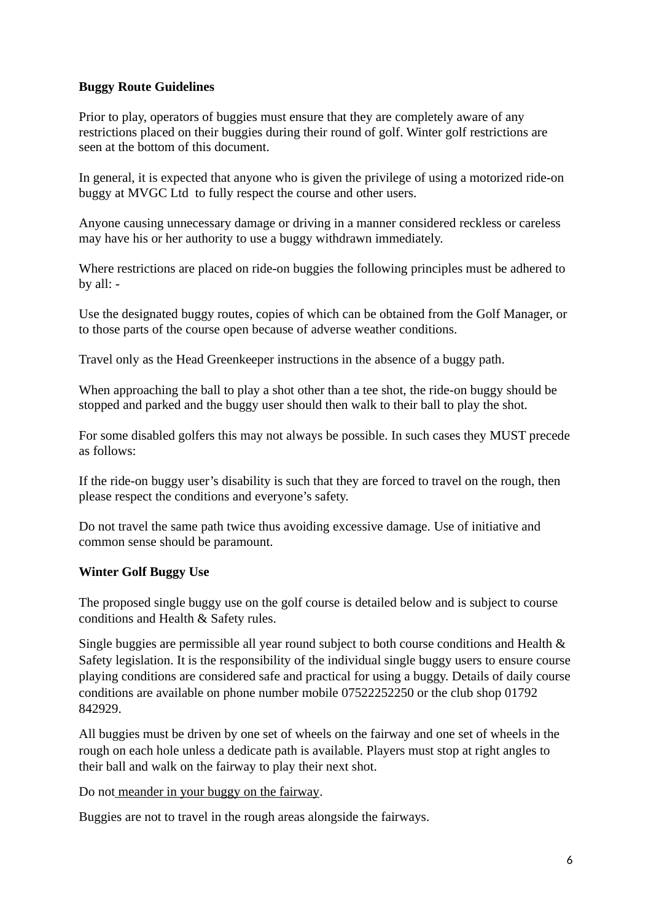## **Buggy Route Guidelines**

Prior to play, operators of buggies must ensure that they are completely aware of any restrictions placed on their buggies during their round of golf. Winter golf restrictions are seen at the bottom of this document.

In general, it is expected that anyone who is given the privilege of using a motorized ride-on buggy at MVGC Ltd to fully respect the course and other users.

Anyone causing unnecessary damage or driving in a manner considered reckless or careless may have his or her authority to use a buggy withdrawn immediately.

Where restrictions are placed on ride-on buggies the following principles must be adhered to by all: -

Use the designated buggy routes, copies of which can be obtained from the Golf Manager, or to those parts of the course open because of adverse weather conditions.

Travel only as the Head Greenkeeper instructions in the absence of a buggy path.

When approaching the ball to play a shot other than a tee shot, the ride-on buggy should be stopped and parked and the buggy user should then walk to their ball to play the shot.

For some disabled golfers this may not always be possible. In such cases they MUST precede as follows:

If the ride-on buggy user's disability is such that they are forced to travel on the rough, then please respect the conditions and everyone's safety.

Do not travel the same path twice thus avoiding excessive damage. Use of initiative and common sense should be paramount.

## **Winter Golf Buggy Use**

The proposed single buggy use on the golf course is detailed below and is subject to course conditions and Health & Safety rules.

Single buggies are permissible all year round subject to both course conditions and Health & Safety legislation. It is the responsibility of the individual single buggy users to ensure course playing conditions are considered safe and practical for using a buggy. Details of daily course conditions are available on phone number mobile 07522252250 or the club shop 01792 842929.

All buggies must be driven by one set of wheels on the fairway and one set of wheels in the rough on each hole unless a dedicate path is available. Players must stop at right angles to their ball and walk on the fairway to play their next shot.

Do not meander in your buggy on the fairway.

Buggies are not to travel in the rough areas alongside the fairways.